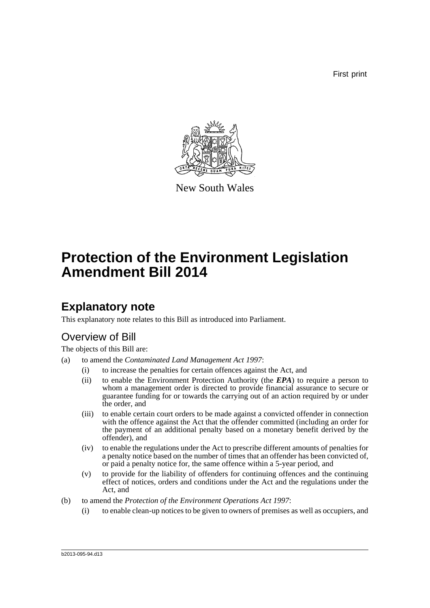First print



New South Wales

# **Protection of the Environment Legislation Amendment Bill 2014**

# **Explanatory note**

This explanatory note relates to this Bill as introduced into Parliament.

# Overview of Bill

The objects of this Bill are:

- (a) to amend the *Contaminated Land Management Act 1997*:
	- (i) to increase the penalties for certain offences against the Act, and
	- (ii) to enable the Environment Protection Authority (the *EPA*) to require a person to whom a management order is directed to provide financial assurance to secure or guarantee funding for or towards the carrying out of an action required by or under the order, and
	- (iii) to enable certain court orders to be made against a convicted offender in connection with the offence against the Act that the offender committed (including an order for the payment of an additional penalty based on a monetary benefit derived by the offender), and
	- (iv) to enable the regulations under the Act to prescribe different amounts of penalties for a penalty notice based on the number of times that an offender has been convicted of, or paid a penalty notice for, the same offence within a 5-year period, and
	- (v) to provide for the liability of offenders for continuing offences and the continuing effect of notices, orders and conditions under the Act and the regulations under the Act, and
- (b) to amend the *Protection of the Environment Operations Act 1997*:
	- (i) to enable clean-up notices to be given to owners of premises as well as occupiers, and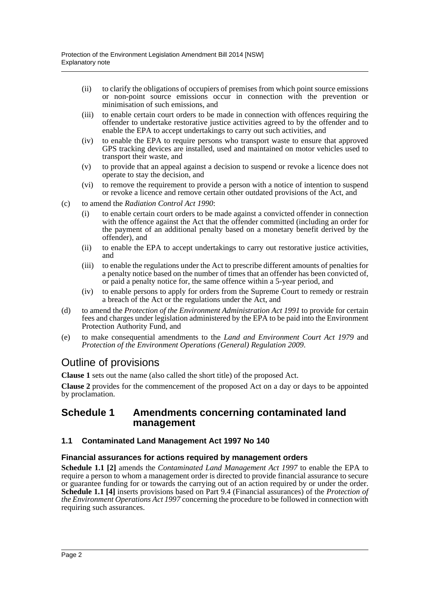- (ii) to clarify the obligations of occupiers of premises from which point source emissions or non-point source emissions occur in connection with the prevention or minimisation of such emissions, and
- (iii) to enable certain court orders to be made in connection with offences requiring the offender to undertake restorative justice activities agreed to by the offender and to enable the EPA to accept undertakings to carry out such activities, and
- (iv) to enable the EPA to require persons who transport waste to ensure that approved GPS tracking devices are installed, used and maintained on motor vehicles used to transport their waste, and
- (v) to provide that an appeal against a decision to suspend or revoke a licence does not operate to stay the decision, and
- (vi) to remove the requirement to provide a person with a notice of intention to suspend or revoke a licence and remove certain other outdated provisions of the Act, and
- (c) to amend the *Radiation Control Act 1990*:
	- (i) to enable certain court orders to be made against a convicted offender in connection with the offence against the Act that the offender committed (including an order for the payment of an additional penalty based on a monetary benefit derived by the offender), and
	- (ii) to enable the EPA to accept undertakings to carry out restorative justice activities, and
	- (iii) to enable the regulations under the Act to prescribe different amounts of penalties for a penalty notice based on the number of times that an offender has been convicted of, or paid a penalty notice for, the same offence within a 5-year period, and
	- (iv) to enable persons to apply for orders from the Supreme Court to remedy or restrain a breach of the Act or the regulations under the Act, and
- (d) to amend the *Protection of the Environment Administration Act 1991* to provide for certain fees and charges under legislation administered by the EPA to be paid into the Environment Protection Authority Fund, and
- (e) to make consequential amendments to the *Land and Environment Court Act 1979* and *Protection of the Environment Operations (General) Regulation 2009*.

# Outline of provisions

**Clause 1** sets out the name (also called the short title) of the proposed Act.

**Clause 2** provides for the commencement of the proposed Act on a day or days to be appointed by proclamation.

## **Schedule 1 Amendments concerning contaminated land management**

#### **1.1 Contaminated Land Management Act 1997 No 140**

#### **Financial assurances for actions required by management orders**

**Schedule 1.1 [2]** amends the *Contaminated Land Management Act 1997* to enable the EPA to require a person to whom a management order is directed to provide financial assurance to secure or guarantee funding for or towards the carrying out of an action required by or under the order. **Schedule 1.1 [4]** inserts provisions based on Part 9.4 (Financial assurances) of the *Protection of the Environment Operations Act 1997* concerning the procedure to be followed in connection with requiring such assurances.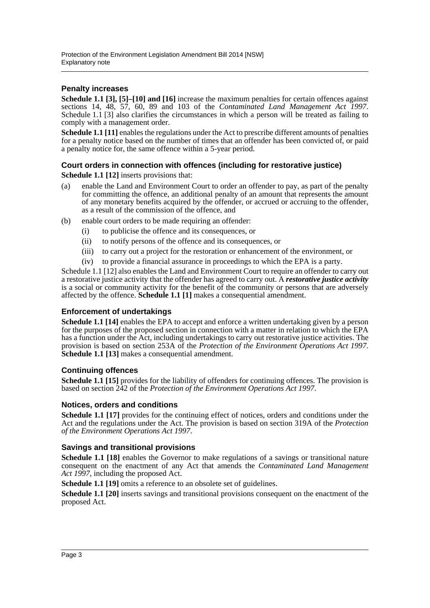#### **Penalty increases**

**Schedule 1.1 [3], [5]–[10] and [16]** increase the maximum penalties for certain offences against sections 14, 48, 57, 60, 89 and 103 of the *Contaminated Land Management Act 1997*. Schedule 1.1 [3] also clarifies the circumstances in which a person will be treated as failing to comply with a management order.

**Schedule 1.1** [11] enables the regulations under the Act to prescribe different amounts of penalties for a penalty notice based on the number of times that an offender has been convicted of, or paid a penalty notice for, the same offence within a 5-year period.

### **Court orders in connection with offences (including for restorative justice)**

**Schedule 1.1 [12]** inserts provisions that:

- (a) enable the Land and Environment Court to order an offender to pay, as part of the penalty for committing the offence, an additional penalty of an amount that represents the amount of any monetary benefits acquired by the offender, or accrued or accruing to the offender, as a result of the commission of the offence, and
- (b) enable court orders to be made requiring an offender:
	- (i) to publicise the offence and its consequences, or
	- (ii) to notify persons of the offence and its consequences, or
	- (iii) to carry out a project for the restoration or enhancement of the environment, or
	- (iv) to provide a financial assurance in proceedings to which the EPA is a party.

Schedule 1.1 [12] also enables the Land and Environment Court to require an offender to carry out a restorative justice activity that the offender has agreed to carry out. A *restorative justice activity* is a social or community activity for the benefit of the community or persons that are adversely affected by the offence. **Schedule 1.1 [1]** makes a consequential amendment.

#### **Enforcement of undertakings**

**Schedule 1.1 [14]** enables the EPA to accept and enforce a written undertaking given by a person for the purposes of the proposed section in connection with a matter in relation to which the EPA has a function under the Act, including undertakings to carry out restorative justice activities. The provision is based on section 253A of the *Protection of the Environment Operations Act 1997*. **Schedule 1.1 [13]** makes a consequential amendment.

#### **Continuing offences**

**Schedule 1.1 [15]** provides for the liability of offenders for continuing offences. The provision is based on section 242 of the *Protection of the Environment Operations Act 1997*.

#### **Notices, orders and conditions**

**Schedule 1.1 [17]** provides for the continuing effect of notices, orders and conditions under the Act and the regulations under the Act. The provision is based on section 319A of the *Protection of the Environment Operations Act 1997*.

#### **Savings and transitional provisions**

**Schedule 1.1 [18]** enables the Governor to make regulations of a savings or transitional nature consequent on the enactment of any Act that amends the *Contaminated Land Management Act 1997*, including the proposed Act.

**Schedule 1.1 [19]** omits a reference to an obsolete set of guidelines.

**Schedule 1.1 [20]** inserts savings and transitional provisions consequent on the enactment of the proposed Act.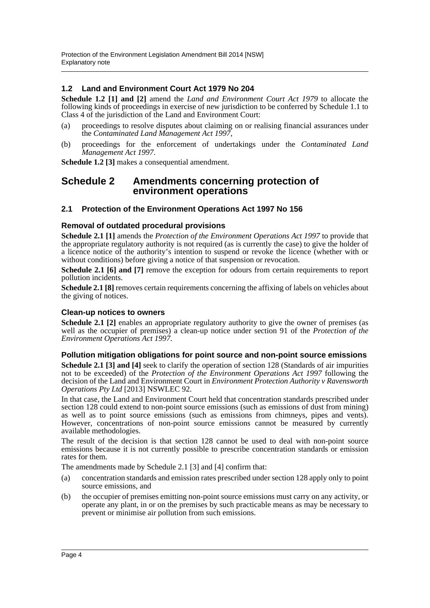### **1.2 Land and Environment Court Act 1979 No 204**

**Schedule 1.2 [1] and [2]** amend the *Land and Environment Court Act 1979* to allocate the following kinds of proceedings in exercise of new jurisdiction to be conferred by Schedule 1.1 to Class 4 of the jurisdiction of the Land and Environment Court:

- (a) proceedings to resolve disputes about claiming on or realising financial assurances under the *Contaminated Land Management Act 1997*,
- (b) proceedings for the enforcement of undertakings under the *Contaminated Land Management Act 1997*.

**Schedule 1.2 [3]** makes a consequential amendment.

## **Schedule 2 Amendments concerning protection of environment operations**

**2.1 Protection of the Environment Operations Act 1997 No 156**

#### **Removal of outdated procedural provisions**

**Schedule 2.1 [1]** amends the *Protection of the Environment Operations Act 1997* to provide that the appropriate regulatory authority is not required (as is currently the case) to give the holder of a licence notice of the authority's intention to suspend or revoke the licence (whether with or without conditions) before giving a notice of that suspension or revocation.

**Schedule 2.1 [6] and [7]** remove the exception for odours from certain requirements to report pollution incidents.

**Schedule 2.1 [8]** removes certain requirements concerning the affixing of labels on vehicles about the giving of notices.

#### **Clean-up notices to owners**

**Schedule 2.1 [2]** enables an appropriate regulatory authority to give the owner of premises (as well as the occupier of premises) a clean-up notice under section 91 of the *Protection of the Environment Operations Act 1997*.

#### **Pollution mitigation obligations for point source and non-point source emissions**

**Schedule 2.1 [3] and [4]** seek to clarify the operation of section 128 (Standards of air impurities not to be exceeded) of the *Protection of the Environment Operations Act 1997* following the decision of the Land and Environment Court in *Environment Protection Authority v Ravensworth Operations Pty Ltd* [2013] NSWLEC 92.

In that case, the Land and Environment Court held that concentration standards prescribed under section 128 could extend to non-point source emissions (such as emissions of dust from mining) as well as to point source emissions (such as emissions from chimneys, pipes and vents). However, concentrations of non-point source emissions cannot be measured by currently available methodologies.

The result of the decision is that section 128 cannot be used to deal with non-point source emissions because it is not currently possible to prescribe concentration standards or emission rates for them.

The amendments made by Schedule 2.1 [3] and [4] confirm that:

- (a) concentration standards and emission rates prescribed under section 128 apply only to point source emissions, and
- (b) the occupier of premises emitting non-point source emissions must carry on any activity, or operate any plant, in or on the premises by such practicable means as may be necessary to prevent or minimise air pollution from such emissions.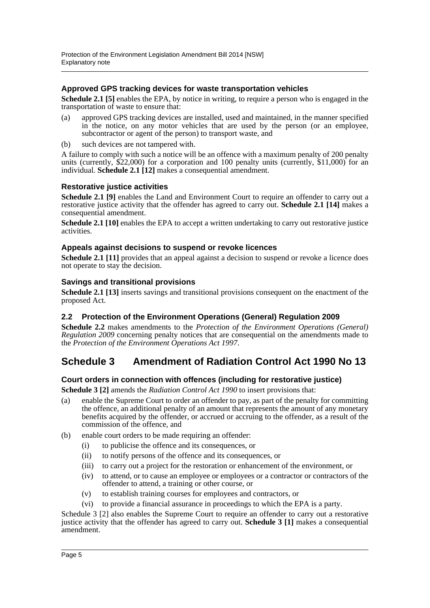#### **Approved GPS tracking devices for waste transportation vehicles**

**Schedule 2.1 [5]** enables the EPA, by notice in writing, to require a person who is engaged in the transportation of waste to ensure that:

- (a) approved GPS tracking devices are installed, used and maintained, in the manner specified in the notice, on any motor vehicles that are used by the person (or an employee, subcontractor or agent of the person) to transport waste, and
- (b) such devices are not tampered with.

A failure to comply with such a notice will be an offence with a maximum penalty of 200 penalty units (currently, \$22,000) for a corporation and 100 penalty units (currently, \$11,000) for an individual. **Schedule 2.1 [12]** makes a consequential amendment.

#### **Restorative justice activities**

Schedule 2.1 [9] enables the Land and Environment Court to require an offender to carry out a restorative justice activity that the offender has agreed to carry out. **Schedule 2.1 [14]** makes a consequential amendment.

**Schedule 2.1 [10]** enables the EPA to accept a written undertaking to carry out restorative justice activities.

#### **Appeals against decisions to suspend or revoke licences**

**Schedule 2.1 [11]** provides that an appeal against a decision to suspend or revoke a licence does not operate to stay the decision.

#### **Savings and transitional provisions**

**Schedule 2.1 [13]** inserts savings and transitional provisions consequent on the enactment of the proposed Act.

#### **2.2 Protection of the Environment Operations (General) Regulation 2009**

**Schedule 2.2** makes amendments to the *Protection of the Environment Operations (General) Regulation 2009* concerning penalty notices that are consequential on the amendments made to the *Protection of the Environment Operations Act 1997*.

# **Schedule 3 Amendment of Radiation Control Act 1990 No 13**

### **Court orders in connection with offences (including for restorative justice)**

**Schedule 3 [2]** amends the *Radiation Control Act 1990* to insert provisions that:

- (a) enable the Supreme Court to order an offender to pay, as part of the penalty for committing the offence, an additional penalty of an amount that represents the amount of any monetary benefits acquired by the offender, or accrued or accruing to the offender, as a result of the commission of the offence, and
- (b) enable court orders to be made requiring an offender:
	- (i) to publicise the offence and its consequences, or
	- (ii) to notify persons of the offence and its consequences, or
	- (iii) to carry out a project for the restoration or enhancement of the environment, or
	- (iv) to attend, or to cause an employee or employees or a contractor or contractors of the offender to attend, a training or other course, or
	- (v) to establish training courses for employees and contractors, or
	- (vi) to provide a financial assurance in proceedings to which the EPA is a party.

Schedule 3 [2] also enables the Supreme Court to require an offender to carry out a restorative justice activity that the offender has agreed to carry out. **Schedule 3 [1]** makes a consequential amendment.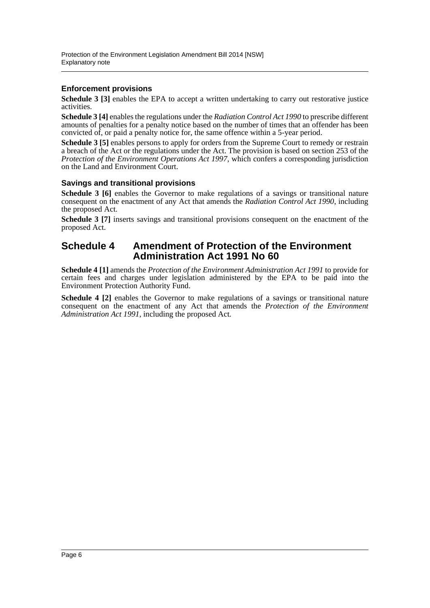### **Enforcement provisions**

**Schedule 3 [3]** enables the EPA to accept a written undertaking to carry out restorative justice activities.

**Schedule 3 [4]** enables the regulations under the *Radiation Control Act 1990* to prescribe different amounts of penalties for a penalty notice based on the number of times that an offender has been convicted of, or paid a penalty notice for, the same offence within a 5-year period.

**Schedule 3 [5]** enables persons to apply for orders from the Supreme Court to remedy or restrain a breach of the Act or the regulations under the Act. The provision is based on section 253 of the *Protection of the Environment Operations Act 1997*, which confers a corresponding jurisdiction on the Land and Environment Court.

#### **Savings and transitional provisions**

**Schedule 3 [6]** enables the Governor to make regulations of a savings or transitional nature consequent on the enactment of any Act that amends the *Radiation Control Act 1990*, including the proposed Act.

**Schedule 3 [7]** inserts savings and transitional provisions consequent on the enactment of the proposed Act.

## **Schedule 4 Amendment of Protection of the Environment Administration Act 1991 No 60**

**Schedule 4 [1]** amends the *Protection of the Environment Administration Act 1991* to provide for certain fees and charges under legislation administered by the EPA to be paid into the Environment Protection Authority Fund.

**Schedule 4 [2]** enables the Governor to make regulations of a savings or transitional nature consequent on the enactment of any Act that amends the *Protection of the Environment Administration Act 1991*, including the proposed Act.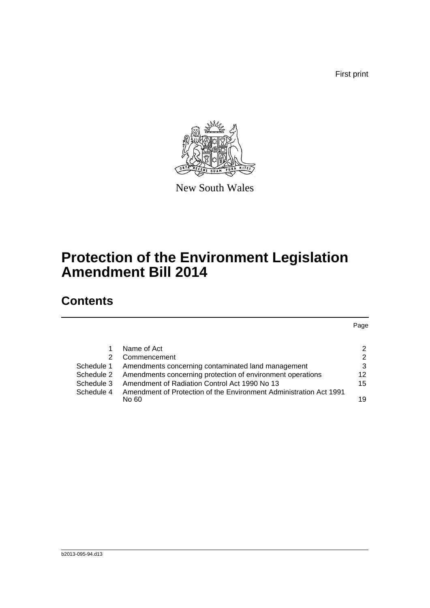First print



New South Wales

# **Protection of the Environment Legislation Amendment Bill 2014**

# **Contents**

Page

|            | Name of Act                                                           | $\mathcal{P}$ |
|------------|-----------------------------------------------------------------------|---------------|
| 2.         | Commencement                                                          | 2             |
|            | Schedule 1 Amendments concerning contaminated land management         | 3             |
|            | Schedule 2 Amendments concerning protection of environment operations | 12            |
| Schedule 3 | Amendment of Radiation Control Act 1990 No 13                         | 15            |
| Schedule 4 | Amendment of Protection of the Environment Administration Act 1991    |               |
|            | No 60.                                                                | 19            |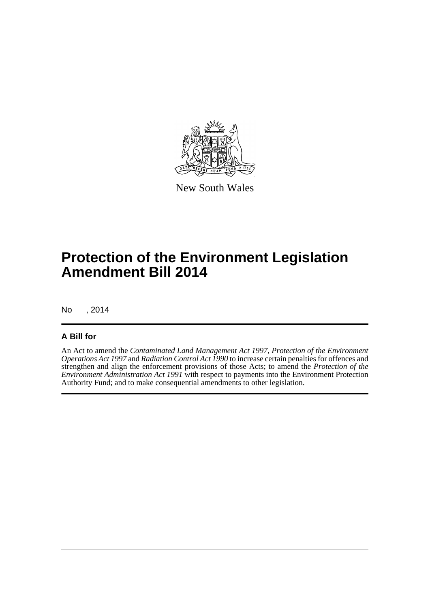

New South Wales

# **Protection of the Environment Legislation Amendment Bill 2014**

No , 2014

### **A Bill for**

An Act to amend the *Contaminated Land Management Act 1997*, *Protection of the Environment Operations Act 1997* and *Radiation Control Act 1990* to increase certain penalties for offences and strengthen and align the enforcement provisions of those Acts; to amend the *Protection of the Environment Administration Act 1991* with respect to payments into the Environment Protection Authority Fund; and to make consequential amendments to other legislation.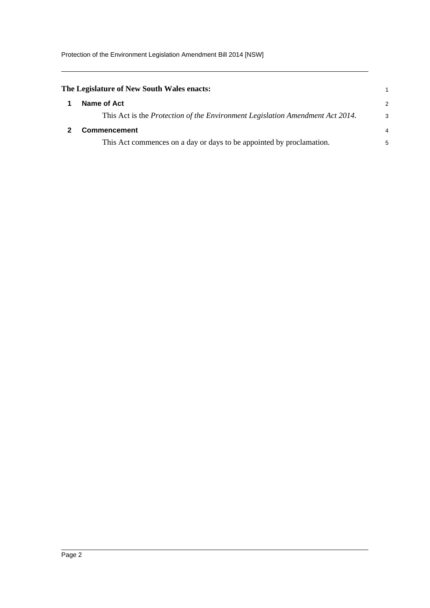<span id="page-8-1"></span><span id="page-8-0"></span>

| The Legislature of New South Wales enacts:                                    |   |
|-------------------------------------------------------------------------------|---|
| Name of Act                                                                   | 2 |
| This Act is the Protection of the Environment Legislation Amendment Act 2014. | 3 |
| <b>Commencement</b>                                                           | 4 |
| This Act commences on a day or days to be appointed by proclamation.          | 5 |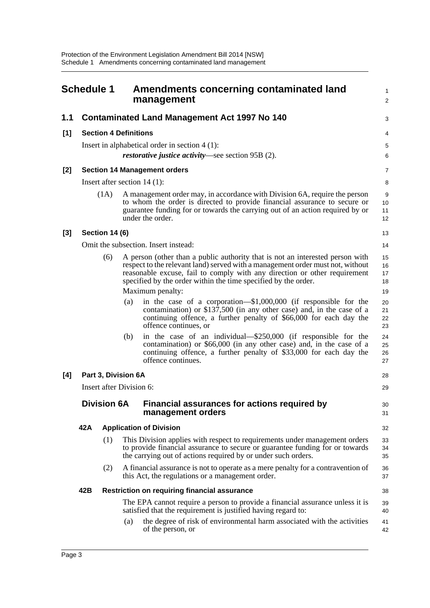<span id="page-9-0"></span>

|       | <b>Schedule 1</b>        |                       |                              | Amendments concerning contaminated land<br>management                                                                                                                                                                                                                                                          | 1<br>$\overline{\mathbf{c}}$ |
|-------|--------------------------|-----------------------|------------------------------|----------------------------------------------------------------------------------------------------------------------------------------------------------------------------------------------------------------------------------------------------------------------------------------------------------------|------------------------------|
| 1.1   |                          |                       |                              | <b>Contaminated Land Management Act 1997 No 140</b>                                                                                                                                                                                                                                                            | 3                            |
| [1]   |                          |                       | <b>Section 4 Definitions</b> |                                                                                                                                                                                                                                                                                                                | 4                            |
|       |                          |                       |                              | Insert in alphabetical order in section $4(1)$ :<br><i>restorative justice activity</i> —see section 95B (2).                                                                                                                                                                                                  | 5<br>6                       |
| [2]   |                          |                       |                              | <b>Section 14 Management orders</b>                                                                                                                                                                                                                                                                            | 7                            |
|       |                          |                       |                              | Insert after section $14(1)$ :                                                                                                                                                                                                                                                                                 | 8                            |
|       |                          | (1A)                  |                              | A management order may, in accordance with Division 6A, require the person<br>to whom the order is directed to provide financial assurance to secure or<br>guarantee funding for or towards the carrying out of an action required by or<br>under the order.                                                   | 9<br>10<br>11<br>12          |
| $[3]$ |                          | <b>Section 14 (6)</b> |                              |                                                                                                                                                                                                                                                                                                                | 13                           |
|       |                          |                       |                              | Omit the subsection. Insert instead:                                                                                                                                                                                                                                                                           | 14                           |
|       |                          | (6)                   |                              | A person (other than a public authority that is not an interested person with<br>respect to the relevant land) served with a management order must not, without<br>reasonable excuse, fail to comply with any direction or other requirement<br>specified by the order within the time specified by the order. | 15<br>16<br>17<br>18         |
|       |                          |                       |                              | Maximum penalty:                                                                                                                                                                                                                                                                                               | 19                           |
|       |                          |                       | (a)                          | in the case of a corporation— $$1,000,000$ (if responsible for the<br>contamination) or \$137,500 (in any other case) and, in the case of a<br>continuing offence, a further penalty of \$66,000 for each day the<br>offence continues, or                                                                     | 20<br>21<br>22<br>23         |
|       |                          |                       | (b)                          | in the case of an individual—\$250,000 (if responsible for the<br>contamination) or \$66,000 (in any other case) and, in the case of a<br>continuing offence, a further penalty of \$33,000 for each day the<br>offence continues.                                                                             | 24<br>25<br>26<br>27         |
| [4]   |                          |                       | Part 3, Division 6A          |                                                                                                                                                                                                                                                                                                                | 28                           |
|       | Insert after Division 6: |                       |                              |                                                                                                                                                                                                                                                                                                                |                              |
|       | <b>Division 6A</b>       |                       |                              | Financial assurances for actions required by<br>management orders                                                                                                                                                                                                                                              | 30<br>31                     |
|       | 42A                      |                       |                              | <b>Application of Division</b>                                                                                                                                                                                                                                                                                 | 32                           |
|       |                          | (1)                   |                              | This Division applies with respect to requirements under management orders<br>to provide financial assurance to secure or guarantee funding for or towards<br>the carrying out of actions required by or under such orders.                                                                                    | 33<br>34<br>35               |
|       |                          | (2)                   |                              | A financial assurance is not to operate as a mere penalty for a contravention of<br>this Act, the regulations or a management order.                                                                                                                                                                           | 36<br>37                     |
|       | 42B                      |                       |                              | <b>Restriction on requiring financial assurance</b>                                                                                                                                                                                                                                                            | 38                           |
|       |                          |                       |                              | The EPA cannot require a person to provide a financial assurance unless it is<br>satisfied that the requirement is justified having regard to:                                                                                                                                                                 | 39<br>40                     |
|       |                          |                       | (a)                          | the degree of risk of environmental harm associated with the activities<br>of the person, or                                                                                                                                                                                                                   | 41<br>42                     |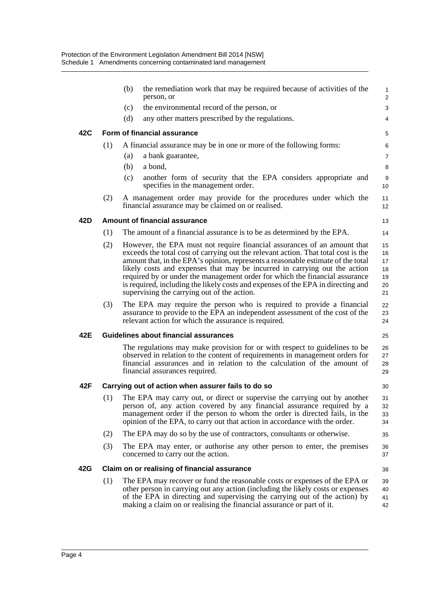|     |     | (b) | the remediation work that may be required because of activities of the<br>person, or                                                                                                                                                                                                                                                                                                                                                                                                                                                              | $\mathbf{1}$<br>$\overline{2}$         |
|-----|-----|-----|---------------------------------------------------------------------------------------------------------------------------------------------------------------------------------------------------------------------------------------------------------------------------------------------------------------------------------------------------------------------------------------------------------------------------------------------------------------------------------------------------------------------------------------------------|----------------------------------------|
|     |     | (c) | the environmental record of the person, or                                                                                                                                                                                                                                                                                                                                                                                                                                                                                                        | 3                                      |
|     |     | (d) | any other matters prescribed by the regulations.                                                                                                                                                                                                                                                                                                                                                                                                                                                                                                  | 4                                      |
| 42C |     |     | Form of financial assurance                                                                                                                                                                                                                                                                                                                                                                                                                                                                                                                       | 5                                      |
|     | (1) |     | A financial assurance may be in one or more of the following forms:                                                                                                                                                                                                                                                                                                                                                                                                                                                                               | 6                                      |
|     |     | (a) | a bank guarantee,                                                                                                                                                                                                                                                                                                                                                                                                                                                                                                                                 | $\overline{7}$                         |
|     |     | (b) | a bond,                                                                                                                                                                                                                                                                                                                                                                                                                                                                                                                                           | 8                                      |
|     |     | (c) | another form of security that the EPA considers appropriate and<br>specifies in the management order.                                                                                                                                                                                                                                                                                                                                                                                                                                             | 9<br>10                                |
|     | (2) |     | A management order may provide for the procedures under which the<br>financial assurance may be claimed on or realised.                                                                                                                                                                                                                                                                                                                                                                                                                           | 11<br>12 <sup>°</sup>                  |
| 42D |     |     | <b>Amount of financial assurance</b>                                                                                                                                                                                                                                                                                                                                                                                                                                                                                                              | 13                                     |
|     | (1) |     | The amount of a financial assurance is to be as determined by the EPA.                                                                                                                                                                                                                                                                                                                                                                                                                                                                            | 14                                     |
|     | (2) |     | However, the EPA must not require financial assurances of an amount that<br>exceeds the total cost of carrying out the relevant action. That total cost is the<br>amount that, in the EPA's opinion, represents a reasonable estimate of the total<br>likely costs and expenses that may be incurred in carrying out the action<br>required by or under the management order for which the financial assurance<br>is required, including the likely costs and expenses of the EPA in directing and<br>supervising the carrying out of the action. | 15<br>16<br>17<br>18<br>19<br>20<br>21 |
|     | (3) |     | The EPA may require the person who is required to provide a financial<br>assurance to provide to the EPA an independent assessment of the cost of the<br>relevant action for which the assurance is required.                                                                                                                                                                                                                                                                                                                                     | 22<br>23<br>24                         |
| 42E |     |     | Guidelines about financial assurances                                                                                                                                                                                                                                                                                                                                                                                                                                                                                                             | 25                                     |
|     |     |     | The regulations may make provision for or with respect to guidelines to be<br>observed in relation to the content of requirements in management orders for<br>financial assurances and in relation to the calculation of the amount of<br>financial assurances required.                                                                                                                                                                                                                                                                          | 26<br>27<br>28<br>29                   |
| 42F |     |     | Carrying out of action when assurer fails to do so                                                                                                                                                                                                                                                                                                                                                                                                                                                                                                | 30                                     |
|     | (1) |     | The EPA may carry out, or direct or supervise the carrying out by another<br>person of, any action covered by any financial assurance required by a<br>management order if the person to whom the order is directed fails, in the<br>opinion of the EPA, to carry out that action in accordance with the order.                                                                                                                                                                                                                                   | 31<br>32<br>33<br>34                   |
|     | (2) |     | The EPA may do so by the use of contractors, consultants or otherwise.                                                                                                                                                                                                                                                                                                                                                                                                                                                                            | 35                                     |
|     | (3) |     | The EPA may enter, or authorise any other person to enter, the premises<br>concerned to carry out the action.                                                                                                                                                                                                                                                                                                                                                                                                                                     | 36<br>37                               |
| 42G |     |     | Claim on or realising of financial assurance                                                                                                                                                                                                                                                                                                                                                                                                                                                                                                      | 38                                     |
|     | (1) |     | The EPA may recover or fund the reasonable costs or expenses of the EPA or<br>other person in carrying out any action (including the likely costs or expenses<br>of the EPA in directing and supervising the carrying out of the action) by<br>making a claim on or realising the financial assurance or part of it.                                                                                                                                                                                                                              | 39<br>40<br>41<br>42                   |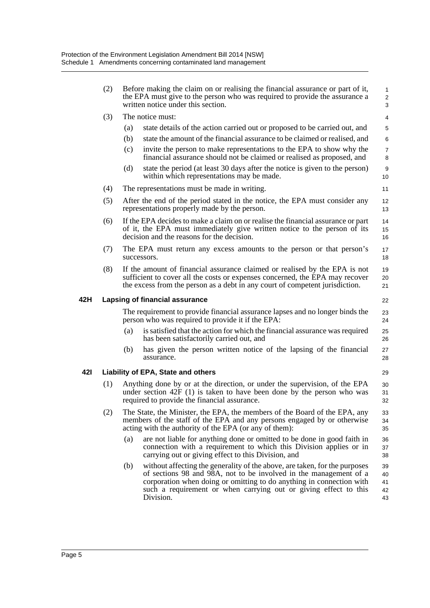|     | (2) | Before making the claim on or realising the financial assurance or part of it,<br>the EPA must give to the person who was required to provide the assurance a<br>written notice under this section. |                                                                                                                                                                                                                                                                                                          |                            |  |
|-----|-----|-----------------------------------------------------------------------------------------------------------------------------------------------------------------------------------------------------|----------------------------------------------------------------------------------------------------------------------------------------------------------------------------------------------------------------------------------------------------------------------------------------------------------|----------------------------|--|
|     | (3) |                                                                                                                                                                                                     | The notice must:                                                                                                                                                                                                                                                                                         | $\overline{4}$             |  |
|     |     | (a)                                                                                                                                                                                                 | state details of the action carried out or proposed to be carried out, and                                                                                                                                                                                                                               | 5                          |  |
|     |     | (b)                                                                                                                                                                                                 | state the amount of the financial assurance to be claimed or realised, and                                                                                                                                                                                                                               | 6                          |  |
|     |     | (c)                                                                                                                                                                                                 | invite the person to make representations to the EPA to show why the<br>financial assurance should not be claimed or realised as proposed, and                                                                                                                                                           | $\overline{7}$<br>8        |  |
|     |     | (d)                                                                                                                                                                                                 | state the period (at least 30 days after the notice is given to the person)<br>within which representations may be made.                                                                                                                                                                                 | 9<br>10                    |  |
|     | (4) |                                                                                                                                                                                                     | The representations must be made in writing.                                                                                                                                                                                                                                                             | 11                         |  |
|     | (5) |                                                                                                                                                                                                     | After the end of the period stated in the notice, the EPA must consider any<br>representations properly made by the person.                                                                                                                                                                              | 12<br>13                   |  |
|     | (6) |                                                                                                                                                                                                     | If the EPA decides to make a claim on or realise the financial assurance or part<br>of it, the EPA must immediately give written notice to the person of its<br>decision and the reasons for the decision.                                                                                               | 14<br>15<br>16             |  |
|     | (7) |                                                                                                                                                                                                     | The EPA must return any excess amounts to the person or that person's<br>successors.                                                                                                                                                                                                                     | 17<br>18                   |  |
|     | (8) |                                                                                                                                                                                                     | If the amount of financial assurance claimed or realised by the EPA is not<br>sufficient to cover all the costs or expenses concerned, the EPA may recover<br>the excess from the person as a debt in any court of competent jurisdiction.                                                               | 19<br>20<br>21             |  |
| 42H |     |                                                                                                                                                                                                     | Lapsing of financial assurance                                                                                                                                                                                                                                                                           | 22                         |  |
|     |     |                                                                                                                                                                                                     | The requirement to provide financial assurance lapses and no longer binds the<br>person who was required to provide it if the EPA:                                                                                                                                                                       | 23<br>24                   |  |
|     |     | (a)                                                                                                                                                                                                 | is satisfied that the action for which the financial assurance was required<br>has been satisfactorily carried out, and                                                                                                                                                                                  | 25<br>26                   |  |
|     |     | (b)                                                                                                                                                                                                 | has given the person written notice of the lapsing of the financial<br>assurance.                                                                                                                                                                                                                        | 27<br>28                   |  |
| 42I |     |                                                                                                                                                                                                     | Liability of EPA, State and others                                                                                                                                                                                                                                                                       | 29                         |  |
|     | (1) |                                                                                                                                                                                                     | Anything done by or at the direction, or under the supervision, of the EPA<br>under section $42F(1)$ is taken to have been done by the person who was<br>required to provide the financial assurance.                                                                                                    | 30<br>31<br>32             |  |
|     | (2) |                                                                                                                                                                                                     | The State, the Minister, the EPA, the members of the Board of the EPA, any<br>members of the staff of the EPA and any persons engaged by or otherwise<br>acting with the authority of the EPA (or any of them):                                                                                          | 33<br>34<br>35             |  |
|     |     | (a)                                                                                                                                                                                                 | are not liable for anything done or omitted to be done in good faith in<br>connection with a requirement to which this Division applies or in<br>carrying out or giving effect to this Division, and                                                                                                     | 36<br>37<br>38             |  |
|     |     | (b)                                                                                                                                                                                                 | without affecting the generality of the above, are taken, for the purposes<br>of sections 98 and 98A, not to be involved in the management of a<br>corporation when doing or omitting to do anything in connection with<br>such a requirement or when carrying out or giving effect to this<br>Division. | 39<br>40<br>41<br>42<br>43 |  |
|     |     |                                                                                                                                                                                                     |                                                                                                                                                                                                                                                                                                          |                            |  |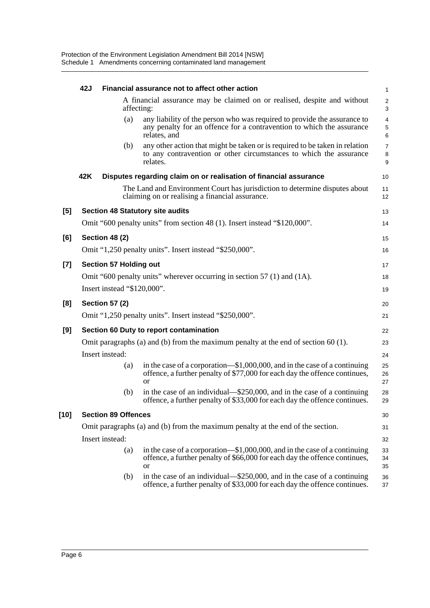|        | 42J |                               | Financial assurance not to affect other action                                                                                                                           | 1                            |
|--------|-----|-------------------------------|--------------------------------------------------------------------------------------------------------------------------------------------------------------------------|------------------------------|
|        |     | affecting:                    | A financial assurance may be claimed on or realised, despite and without                                                                                                 | $\overline{\mathbf{c}}$<br>3 |
|        |     | (a)                           | any liability of the person who was required to provide the assurance to<br>any penalty for an offence for a contravention to which the assurance<br>relates, and        | 4<br>5<br>6                  |
|        |     | (b)                           | any other action that might be taken or is required to be taken in relation<br>to any contravention or other circumstances to which the assurance<br>relates.            | $\overline{7}$<br>8<br>9     |
|        | 42K |                               | Disputes regarding claim on or realisation of financial assurance                                                                                                        | 10                           |
|        |     |                               | The Land and Environment Court has jurisdiction to determine disputes about<br>claiming on or realising a financial assurance.                                           | 11<br>12                     |
| [5]    |     |                               | <b>Section 48 Statutory site audits</b>                                                                                                                                  | 13                           |
|        |     |                               | Omit "600 penalty units" from section 48 (1). Insert instead "\$120,000".                                                                                                | 14                           |
| [6]    |     | Section 48 (2)                |                                                                                                                                                                          | 15                           |
|        |     |                               | Omit "1,250 penalty units". Insert instead "\$250,000".                                                                                                                  | 16                           |
| [7]    |     | <b>Section 57 Holding out</b> |                                                                                                                                                                          | 17                           |
|        |     |                               | Omit "600 penalty units" wherever occurring in section 57 (1) and (1A).                                                                                                  | 18                           |
|        |     | Insert instead "\$120,000".   |                                                                                                                                                                          | 19                           |
| [8]    |     | <b>Section 57 (2)</b>         |                                                                                                                                                                          | 20                           |
|        |     |                               | Omit "1,250 penalty units". Insert instead "\$250,000".                                                                                                                  | 21                           |
| [9]    |     |                               | Section 60 Duty to report contamination                                                                                                                                  | 22                           |
|        |     |                               | Omit paragraphs (a) and (b) from the maximum penalty at the end of section $60(1)$ .                                                                                     | 23                           |
|        |     | Insert instead:               |                                                                                                                                                                          | 24                           |
|        |     | (a)                           | in the case of a corporation—\$1,000,000, and in the case of a continuing<br>offence, a further penalty of \$77,000 for each day the offence continues,<br><b>or</b>     | 25<br>26<br>27               |
|        |     | (b)                           | in the case of an individual—\$250,000, and in the case of a continuing<br>offence, a further penalty of \$33,000 for each day the offence continues.                    | 28<br>29                     |
| $[10]$ |     | <b>Section 89 Offences</b>    |                                                                                                                                                                          | 30                           |
|        |     |                               | Omit paragraphs (a) and (b) from the maximum penalty at the end of the section.                                                                                          | 31                           |
|        |     | Insert instead:               |                                                                                                                                                                          | 32                           |
|        |     | (a)                           | in the case of a corporation—\$1,000,000, and in the case of a continuing<br>offence, a further penalty of \$66,000 for each day the offence continues,<br><sub>or</sub> | 33<br>34<br>35               |
|        |     | (b)                           | in the case of an individual—\$250,000, and in the case of a continuing<br>offence, a further penalty of \$33,000 for each day the offence continues.                    | 36<br>37                     |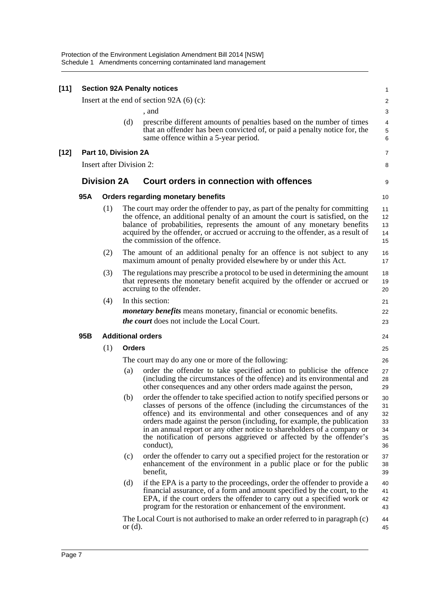| $[11]$ |     |                                 |               | <b>Section 92A Penalty notices</b>                                                                                                                                                                                                                                                                                                                                                                                                                                | $\mathbf{1}$                           |
|--------|-----|---------------------------------|---------------|-------------------------------------------------------------------------------------------------------------------------------------------------------------------------------------------------------------------------------------------------------------------------------------------------------------------------------------------------------------------------------------------------------------------------------------------------------------------|----------------------------------------|
|        |     |                                 |               | Insert at the end of section $92A(6)(c)$ :                                                                                                                                                                                                                                                                                                                                                                                                                        | 2                                      |
|        |     |                                 |               | , and                                                                                                                                                                                                                                                                                                                                                                                                                                                             | 3                                      |
|        |     |                                 | (d)           | prescribe different amounts of penalties based on the number of times<br>that an offender has been convicted of, or paid a penalty notice for, the<br>same offence within a 5-year period.                                                                                                                                                                                                                                                                        | 4<br>5<br>6                            |
| [12]   |     | Part 10, Division 2A            |               |                                                                                                                                                                                                                                                                                                                                                                                                                                                                   | 7                                      |
|        |     | <b>Insert after Division 2:</b> |               |                                                                                                                                                                                                                                                                                                                                                                                                                                                                   | 8                                      |
|        |     | <b>Division 2A</b>              |               | <b>Court orders in connection with offences</b>                                                                                                                                                                                                                                                                                                                                                                                                                   | 9                                      |
|        | 95A |                                 |               | <b>Orders regarding monetary benefits</b>                                                                                                                                                                                                                                                                                                                                                                                                                         | 10                                     |
|        |     | (1)                             |               | The court may order the offender to pay, as part of the penalty for committing<br>the offence, an additional penalty of an amount the court is satisfied, on the<br>balance of probabilities, represents the amount of any monetary benefits<br>acquired by the offender, or accrued or accruing to the offender, as a result of<br>the commission of the offence.                                                                                                | 11<br>12<br>13<br>14<br>15             |
|        |     | (2)                             |               | The amount of an additional penalty for an offence is not subject to any<br>maximum amount of penalty provided elsewhere by or under this Act.                                                                                                                                                                                                                                                                                                                    | 16<br>17                               |
|        |     | (3)                             |               | The regulations may prescribe a protocol to be used in determining the amount<br>that represents the monetary benefit acquired by the offender or accrued or<br>accruing to the offender.                                                                                                                                                                                                                                                                         | 18<br>19<br>20                         |
|        |     | (4)                             |               | In this section:                                                                                                                                                                                                                                                                                                                                                                                                                                                  | 21                                     |
|        |     |                                 |               | <i>monetary benefits</i> means monetary, financial or economic benefits.<br><i>the court</i> does not include the Local Court.                                                                                                                                                                                                                                                                                                                                    | 22<br>23                               |
|        | 95B |                                 |               | <b>Additional orders</b>                                                                                                                                                                                                                                                                                                                                                                                                                                          | 24                                     |
|        |     | (1)                             | <b>Orders</b> |                                                                                                                                                                                                                                                                                                                                                                                                                                                                   | 25                                     |
|        |     |                                 |               | The court may do any one or more of the following:                                                                                                                                                                                                                                                                                                                                                                                                                | 26                                     |
|        |     |                                 | (a)           | order the offender to take specified action to publicise the offence<br>(including the circumstances of the offence) and its environmental and<br>other consequences and any other orders made against the person,                                                                                                                                                                                                                                                | 27<br>28<br>29                         |
|        |     |                                 | (b)           | order the offender to take specified action to notify specified persons or<br>classes of persons of the offence (including the circumstances of the<br>offence) and its environmental and other consequences and of any<br>orders made against the person (including, for example, the publication<br>in an annual report or any other notice to shareholders of a company or<br>the notification of persons aggrieved or affected by the offender's<br>conduct), | 30<br>31<br>32<br>33<br>34<br>35<br>36 |
|        |     |                                 | (c)           | order the offender to carry out a specified project for the restoration or<br>enhancement of the environment in a public place or for the public<br>benefit,                                                                                                                                                                                                                                                                                                      | 37<br>38<br>39                         |
|        |     |                                 | (d)           | if the EPA is a party to the proceedings, order the offender to provide a<br>financial assurance, of a form and amount specified by the court, to the<br>EPA, if the court orders the offender to carry out a specified work or<br>program for the restoration or enhancement of the environment.                                                                                                                                                                 | 40<br>41<br>42<br>43                   |
|        |     |                                 | or $(d)$ .    | The Local Court is not authorised to make an order referred to in paragraph (c)                                                                                                                                                                                                                                                                                                                                                                                   | 44<br>45                               |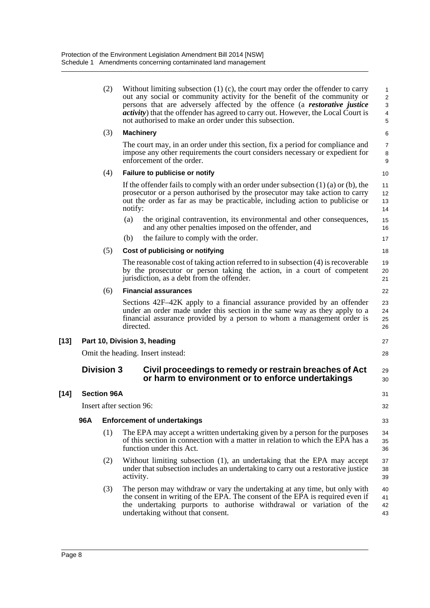|        |     | (2)                | Without limiting subsection $(1)$ (c), the court may order the offender to carry<br>out any social or community activity for the benefit of the community or<br>persons that are adversely affected by the offence (a <i>restorative justice</i><br><i>activity</i> ) that the offender has agreed to carry out. However, the Local Court is<br>not authorised to make an order under this subsection. | 1<br>$\overline{\mathbf{c}}$<br>3<br>$\overline{\mathcal{L}}$<br>5 |  |  |
|--------|-----|--------------------|--------------------------------------------------------------------------------------------------------------------------------------------------------------------------------------------------------------------------------------------------------------------------------------------------------------------------------------------------------------------------------------------------------|--------------------------------------------------------------------|--|--|
|        |     | (3)                | <b>Machinery</b>                                                                                                                                                                                                                                                                                                                                                                                       | 6                                                                  |  |  |
|        |     |                    | The court may, in an order under this section, fix a period for compliance and<br>impose any other requirements the court considers necessary or expedient for<br>enforcement of the order.                                                                                                                                                                                                            | 7<br>8<br>9                                                        |  |  |
|        |     | (4)                | Failure to publicise or notify                                                                                                                                                                                                                                                                                                                                                                         | 10                                                                 |  |  |
|        |     |                    | If the offender fails to comply with an order under subsection $(1)$ $(a)$ or $(b)$ , the<br>prosecutor or a person authorised by the prosecutor may take action to carry<br>out the order as far as may be practicable, including action to publicise or<br>notify:                                                                                                                                   | 11<br>12<br>13<br>14                                               |  |  |
|        |     |                    | (a)<br>the original contravention, its environmental and other consequences,<br>and any other penalties imposed on the offender, and                                                                                                                                                                                                                                                                   | 15<br>16                                                           |  |  |
|        |     |                    | the failure to comply with the order.<br>(b)                                                                                                                                                                                                                                                                                                                                                           | 17                                                                 |  |  |
|        |     | (5)                | Cost of publicising or notifying                                                                                                                                                                                                                                                                                                                                                                       | 18                                                                 |  |  |
|        |     |                    | The reasonable cost of taking action referred to in subsection (4) is recoverable<br>by the prosecutor or person taking the action, in a court of competent<br>jurisdiction, as a debt from the offender.                                                                                                                                                                                              | 19<br>20<br>21                                                     |  |  |
|        |     | (6)                | <b>Financial assurances</b>                                                                                                                                                                                                                                                                                                                                                                            | 22                                                                 |  |  |
|        |     |                    | Sections 42F-42K apply to a financial assurance provided by an offender<br>under an order made under this section in the same way as they apply to a<br>financial assurance provided by a person to whom a management order is<br>directed.                                                                                                                                                            | 23<br>24<br>25<br>26                                               |  |  |
| $[13]$ |     |                    | Part 10, Division 3, heading                                                                                                                                                                                                                                                                                                                                                                           |                                                                    |  |  |
|        |     |                    | Omit the heading. Insert instead:                                                                                                                                                                                                                                                                                                                                                                      | 28                                                                 |  |  |
|        |     | <b>Division 3</b>  | Civil proceedings to remedy or restrain breaches of Act<br>or harm to environment or to enforce undertakings                                                                                                                                                                                                                                                                                           |                                                                    |  |  |
| $[14]$ |     | <b>Section 96A</b> |                                                                                                                                                                                                                                                                                                                                                                                                        | 31                                                                 |  |  |
|        |     |                    | Insert after section 96:                                                                                                                                                                                                                                                                                                                                                                               | 32                                                                 |  |  |
|        | 96A |                    | <b>Enforcement of undertakings</b>                                                                                                                                                                                                                                                                                                                                                                     | 33                                                                 |  |  |
|        |     | (1)                | The EPA may accept a written undertaking given by a person for the purposes<br>of this section in connection with a matter in relation to which the EPA has a<br>function under this Act.                                                                                                                                                                                                              | 34<br>35<br>36                                                     |  |  |
|        |     | (2)                | Without limiting subsection (1), an undertaking that the EPA may accept<br>under that subsection includes an undertaking to carry out a restorative justice<br>activity.                                                                                                                                                                                                                               | 37<br>38<br>39                                                     |  |  |
|        |     | (3)                | The person may withdraw or vary the undertaking at any time, but only with<br>the consent in writing of the EPA. The consent of the EPA is required even if<br>the undertaking purports to authorise withdrawal or variation of the<br>undertaking without that consent.                                                                                                                               | 40<br>41<br>42<br>43                                               |  |  |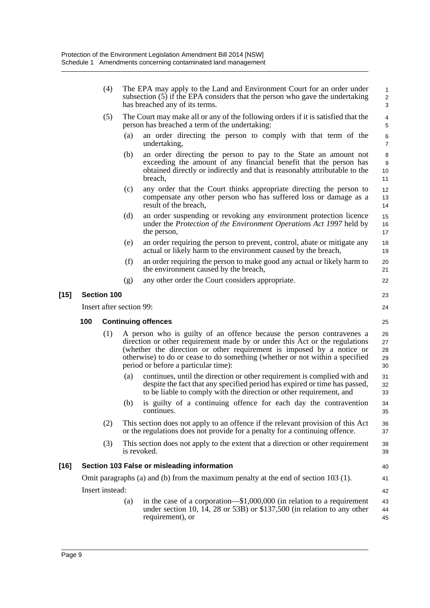| (5)<br>person has breached a term of the undertaking:<br>(a)<br>undertaking,<br>(b)<br>breach,<br>(c)<br>result of the breach,<br>(d)<br>the person,<br>(e)<br>(f)<br>the environment caused by the breach,<br>any other order the Court considers appropriate.<br>(g)<br>$[15]$<br><b>Section 100</b><br>Insert after section 99:<br>100<br><b>Continuing offences</b><br>(1)<br>period or before a particular time):<br>(a)<br>(b)<br>continues.<br>(2)<br>(3)<br>is revoked.<br>$[16]$<br>Section 103 False or misleading information<br>Omit paragraphs (a) and (b) from the maximum penalty at the end of section 103 (1).<br>Insert instead:<br>(a)<br>requirement), or |  | (4) | The EPA may apply to the Land and Environment Court for an order under<br>subsection (5) if the EPA considers that the person who gave the undertaking<br>has breached any of its terms.                                                                                                                      | $\mathbf{1}$<br>$\overline{2}$<br>3 |
|-------------------------------------------------------------------------------------------------------------------------------------------------------------------------------------------------------------------------------------------------------------------------------------------------------------------------------------------------------------------------------------------------------------------------------------------------------------------------------------------------------------------------------------------------------------------------------------------------------------------------------------------------------------------------------|--|-----|---------------------------------------------------------------------------------------------------------------------------------------------------------------------------------------------------------------------------------------------------------------------------------------------------------------|-------------------------------------|
|                                                                                                                                                                                                                                                                                                                                                                                                                                                                                                                                                                                                                                                                               |  |     | The Court may make all or any of the following orders if it is satisfied that the                                                                                                                                                                                                                             | $\overline{\mathbf{4}}$<br>5        |
|                                                                                                                                                                                                                                                                                                                                                                                                                                                                                                                                                                                                                                                                               |  |     | an order directing the person to comply with that term of the                                                                                                                                                                                                                                                 | $\,6$<br>7                          |
|                                                                                                                                                                                                                                                                                                                                                                                                                                                                                                                                                                                                                                                                               |  |     | an order directing the person to pay to the State an amount not<br>exceeding the amount of any financial benefit that the person has<br>obtained directly or indirectly and that is reasonably attributable to the                                                                                            | 8<br>9<br>10<br>11                  |
|                                                                                                                                                                                                                                                                                                                                                                                                                                                                                                                                                                                                                                                                               |  |     | any order that the Court thinks appropriate directing the person to<br>compensate any other person who has suffered loss or damage as a                                                                                                                                                                       | 12<br>13<br>14                      |
|                                                                                                                                                                                                                                                                                                                                                                                                                                                                                                                                                                                                                                                                               |  |     | an order suspending or revoking any environment protection licence<br>under the Protection of the Environment Operations Act 1997 held by                                                                                                                                                                     | 15<br>16<br>17                      |
|                                                                                                                                                                                                                                                                                                                                                                                                                                                                                                                                                                                                                                                                               |  |     | an order requiring the person to prevent, control, abate or mitigate any<br>actual or likely harm to the environment caused by the breach,                                                                                                                                                                    | 18<br>19                            |
|                                                                                                                                                                                                                                                                                                                                                                                                                                                                                                                                                                                                                                                                               |  |     | an order requiring the person to make good any actual or likely harm to                                                                                                                                                                                                                                       | 20<br>21                            |
|                                                                                                                                                                                                                                                                                                                                                                                                                                                                                                                                                                                                                                                                               |  |     |                                                                                                                                                                                                                                                                                                               | 22                                  |
|                                                                                                                                                                                                                                                                                                                                                                                                                                                                                                                                                                                                                                                                               |  |     |                                                                                                                                                                                                                                                                                                               | 23                                  |
|                                                                                                                                                                                                                                                                                                                                                                                                                                                                                                                                                                                                                                                                               |  |     |                                                                                                                                                                                                                                                                                                               | 24                                  |
|                                                                                                                                                                                                                                                                                                                                                                                                                                                                                                                                                                                                                                                                               |  |     |                                                                                                                                                                                                                                                                                                               | 25                                  |
|                                                                                                                                                                                                                                                                                                                                                                                                                                                                                                                                                                                                                                                                               |  |     | A person who is guilty of an offence because the person contravenes a<br>direction or other requirement made by or under this Act or the regulations<br>(whether the direction or other requirement is imposed by a notice or<br>otherwise) to do or cease to do something (whether or not within a specified | 26<br>27<br>28<br>29<br>30          |
|                                                                                                                                                                                                                                                                                                                                                                                                                                                                                                                                                                                                                                                                               |  |     | continues, until the direction or other requirement is complied with and<br>despite the fact that any specified period has expired or time has passed,<br>to be liable to comply with the direction or other requirement, and                                                                                 | 31<br>32<br>33                      |
|                                                                                                                                                                                                                                                                                                                                                                                                                                                                                                                                                                                                                                                                               |  |     | is guilty of a continuing offence for each day the contravention                                                                                                                                                                                                                                              | 34<br>35                            |
|                                                                                                                                                                                                                                                                                                                                                                                                                                                                                                                                                                                                                                                                               |  |     | This section does not apply to an offence if the relevant provision of this Act<br>or the regulations does not provide for a penalty for a continuing offence.                                                                                                                                                | 36<br>37                            |
|                                                                                                                                                                                                                                                                                                                                                                                                                                                                                                                                                                                                                                                                               |  |     | This section does not apply to the extent that a direction or other requirement                                                                                                                                                                                                                               | 38<br>39                            |
|                                                                                                                                                                                                                                                                                                                                                                                                                                                                                                                                                                                                                                                                               |  |     |                                                                                                                                                                                                                                                                                                               | 40                                  |
|                                                                                                                                                                                                                                                                                                                                                                                                                                                                                                                                                                                                                                                                               |  |     |                                                                                                                                                                                                                                                                                                               | 41                                  |
|                                                                                                                                                                                                                                                                                                                                                                                                                                                                                                                                                                                                                                                                               |  |     |                                                                                                                                                                                                                                                                                                               | 42                                  |
|                                                                                                                                                                                                                                                                                                                                                                                                                                                                                                                                                                                                                                                                               |  |     | in the case of a corporation— $$1,000,000$ (in relation to a requirement<br>under section 10, 14, 28 or 53B) or $$137,500$ (in relation to any other                                                                                                                                                          | 43<br>44<br>45                      |

[15]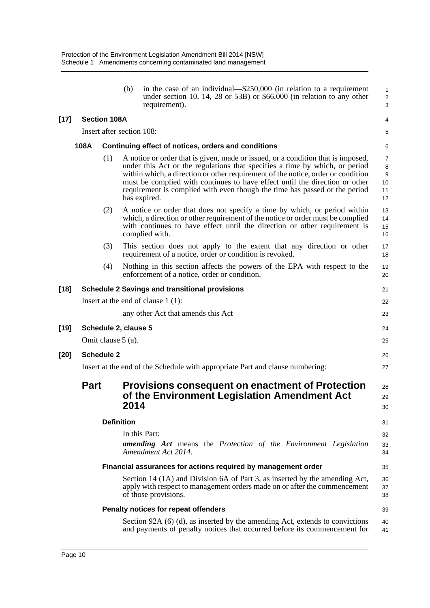|        |                   |                                                                                     | (b)                       | in the case of an individual—\$250,000 (in relation to a requirement<br>under section 10, 14, 28 or 53B) or $$66,000$ (in relation to any other<br>requirement).                                                                                                                                                                                                                                                                 | $\mathbf{1}$<br>$\sqrt{2}$<br>$\mathsf 3$    |  |  |  |  |
|--------|-------------------|-------------------------------------------------------------------------------------|---------------------------|----------------------------------------------------------------------------------------------------------------------------------------------------------------------------------------------------------------------------------------------------------------------------------------------------------------------------------------------------------------------------------------------------------------------------------|----------------------------------------------|--|--|--|--|
| $[17]$ |                   | <b>Section 108A</b>                                                                 |                           |                                                                                                                                                                                                                                                                                                                                                                                                                                  | 4                                            |  |  |  |  |
|        |                   |                                                                                     | Insert after section 108: |                                                                                                                                                                                                                                                                                                                                                                                                                                  | 5                                            |  |  |  |  |
|        | 108A              |                                                                                     |                           | Continuing effect of notices, orders and conditions                                                                                                                                                                                                                                                                                                                                                                              | 6                                            |  |  |  |  |
|        |                   | (1)                                                                                 |                           | A notice or order that is given, made or issued, or a condition that is imposed,<br>under this Act or the regulations that specifies a time by which, or period<br>within which, a direction or other requirement of the notice, order or condition<br>must be complied with continues to have effect until the direction or other<br>requirement is complied with even though the time has passed or the period<br>has expired. | 7<br>8<br>$\boldsymbol{9}$<br>10<br>11<br>12 |  |  |  |  |
|        |                   | (2)                                                                                 |                           | A notice or order that does not specify a time by which, or period within<br>which, a direction or other requirement of the notice or order must be complied<br>with continues to have effect until the direction or other requirement is<br>complied with.                                                                                                                                                                      | 13<br>14<br>15<br>16                         |  |  |  |  |
|        |                   | (3)                                                                                 |                           | This section does not apply to the extent that any direction or other<br>requirement of a notice, order or condition is revoked.                                                                                                                                                                                                                                                                                                 | 17<br>18                                     |  |  |  |  |
|        |                   | (4)                                                                                 |                           | Nothing in this section affects the powers of the EPA with respect to the<br>enforcement of a notice, order or condition.                                                                                                                                                                                                                                                                                                        | 19<br>20                                     |  |  |  |  |
| [18]   |                   |                                                                                     |                           | <b>Schedule 2 Savings and transitional provisions</b>                                                                                                                                                                                                                                                                                                                                                                            | 21                                           |  |  |  |  |
|        |                   |                                                                                     |                           | Insert at the end of clause $1(1)$ :                                                                                                                                                                                                                                                                                                                                                                                             | 22                                           |  |  |  |  |
|        |                   |                                                                                     |                           | any other Act that amends this Act                                                                                                                                                                                                                                                                                                                                                                                               | 23                                           |  |  |  |  |
| [19]   |                   |                                                                                     | Schedule 2, clause 5      |                                                                                                                                                                                                                                                                                                                                                                                                                                  | 24                                           |  |  |  |  |
|        |                   |                                                                                     | Omit clause 5 (a).        |                                                                                                                                                                                                                                                                                                                                                                                                                                  | 25                                           |  |  |  |  |
| [20]   | <b>Schedule 2</b> |                                                                                     |                           |                                                                                                                                                                                                                                                                                                                                                                                                                                  |                                              |  |  |  |  |
|        |                   | Insert at the end of the Schedule with appropriate Part and clause numbering:<br>27 |                           |                                                                                                                                                                                                                                                                                                                                                                                                                                  |                                              |  |  |  |  |
|        | <b>Part</b>       |                                                                                     | 2014                      | Provisions consequent on enactment of Protection<br>of the Environment Legislation Amendment Act                                                                                                                                                                                                                                                                                                                                 | 28<br>29<br>30                               |  |  |  |  |
|        |                   |                                                                                     | <b>Definition</b>         |                                                                                                                                                                                                                                                                                                                                                                                                                                  | 31                                           |  |  |  |  |
|        |                   |                                                                                     |                           | In this Part:                                                                                                                                                                                                                                                                                                                                                                                                                    | 32                                           |  |  |  |  |
|        |                   |                                                                                     |                           | <b>amending</b> Act means the Protection of the Environment Legislation<br>Amendment Act 2014.                                                                                                                                                                                                                                                                                                                                   | 33<br>34                                     |  |  |  |  |
|        |                   |                                                                                     |                           | Financial assurances for actions required by management order                                                                                                                                                                                                                                                                                                                                                                    | 35                                           |  |  |  |  |
|        |                   |                                                                                     |                           | Section 14 (1A) and Division 6A of Part 3, as inserted by the amending Act,<br>apply with respect to management orders made on or after the commencement<br>of those provisions.                                                                                                                                                                                                                                                 | 36<br>37<br>38                               |  |  |  |  |
|        |                   |                                                                                     |                           | Penalty notices for repeat offenders                                                                                                                                                                                                                                                                                                                                                                                             | 39                                           |  |  |  |  |
|        |                   |                                                                                     |                           | Section 92A $(6)$ (d), as inserted by the amending Act, extends to convictions<br>and payments of penalty notices that occurred before its commencement for                                                                                                                                                                                                                                                                      | 40<br>41                                     |  |  |  |  |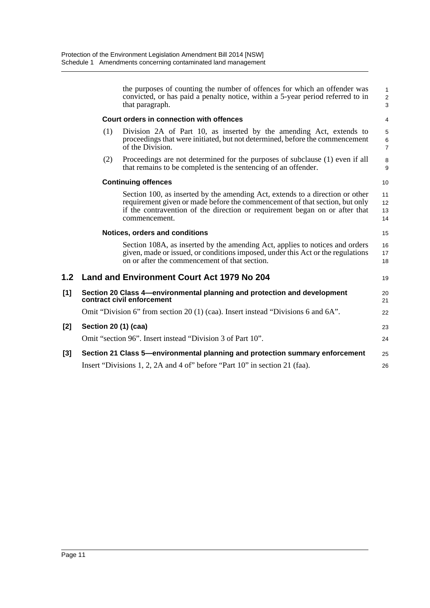the purposes of counting the number of offences for which an offender was convicted, or has paid a penalty notice, within a 5-year period referred to in that paragraph. **Court orders in connection with offences** (1) Division 2A of Part 10, as inserted by the amending Act, extends to proceedings that were initiated, but not determined, before the commencement of the Division. (2) Proceedings are not determined for the purposes of subclause (1) even if all that remains to be completed is the sentencing of an offender. **Continuing offences** Section 100, as inserted by the amending Act, extends to a direction or other requirement given or made before the commencement of that section, but only if the contravention of the direction or requirement began on or after that commencement. **Notices, orders and conditions** Section 108A, as inserted by the amending Act, applies to notices and orders given, made or issued, or conditions imposed, under this Act or the regulations on or after the commencement of that section. **1.2 Land and Environment Court Act 1979 No 204 [1] Section 20 Class 4—environmental planning and protection and development contract civil enforcement** Omit "Division 6" from section 20 (1) (caa). Insert instead "Divisions 6 and 6A". **[2] Section 20 (1) (caa)** Omit "section 96". Insert instead "Division 3 of Part 10". **[3] Section 21 Class 5—environmental planning and protection summary enforcement** Insert "Divisions 1, 2, 2A and 4 of" before "Part 10" in section 21 (faa). 1 2 3 4 5 6 7 8 9  $1<sub>0</sub>$ 11 12 13 14 15 16 17 18 19  $20$ 21 22 23  $24$ 25 26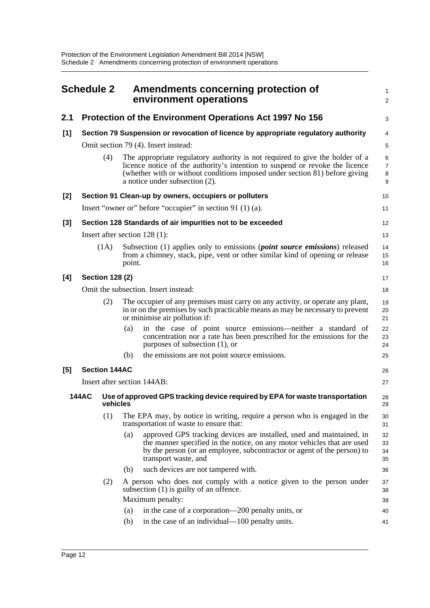<span id="page-18-0"></span>

| <b>Schedule 2</b> |                                      |                      | Amendments concerning protection of<br>environment operations |                                                                                                                                                                                                                                                                               |                      |  |
|-------------------|--------------------------------------|----------------------|---------------------------------------------------------------|-------------------------------------------------------------------------------------------------------------------------------------------------------------------------------------------------------------------------------------------------------------------------------|----------------------|--|
| 2.1               |                                      |                      |                                                               | Protection of the Environment Operations Act 1997 No 156                                                                                                                                                                                                                      | 3                    |  |
| [1]               |                                      |                      |                                                               | Section 79 Suspension or revocation of licence by appropriate regulatory authority                                                                                                                                                                                            | 4                    |  |
|                   | Omit section 79 (4). Insert instead: |                      |                                                               |                                                                                                                                                                                                                                                                               |                      |  |
|                   |                                      | (4)                  |                                                               | The appropriate regulatory authority is not required to give the holder of a<br>licence notice of the authority's intention to suspend or revoke the licence<br>(whether with or without conditions imposed under section 81) before giving<br>a notice under subsection (2). | 6<br>7<br>8<br>9     |  |
| $[2]$             |                                      |                      |                                                               | Section 91 Clean-up by owners, occupiers or polluters                                                                                                                                                                                                                         | 10                   |  |
|                   |                                      |                      |                                                               | Insert "owner or" before "occupier" in section 91 (1) (a).                                                                                                                                                                                                                    | 11                   |  |
| [3]               |                                      |                      |                                                               | Section 128 Standards of air impurities not to be exceeded                                                                                                                                                                                                                    | 12                   |  |
|                   |                                      |                      |                                                               | Insert after section $128(1)$ :                                                                                                                                                                                                                                               | 13                   |  |
|                   |                                      | (1A)                 | point.                                                        | Subsection (1) applies only to emissions ( <i>point source emissions</i> ) released<br>from a chimney, stack, pipe, vent or other similar kind of opening or release                                                                                                          | 14<br>15<br>16       |  |
| [4]               | <b>Section 128 (2)</b>               |                      |                                                               |                                                                                                                                                                                                                                                                               |                      |  |
|                   | Omit the subsection. Insert instead: |                      |                                                               |                                                                                                                                                                                                                                                                               |                      |  |
|                   | (2)                                  |                      |                                                               | The occupier of any premises must carry on any activity, or operate any plant,<br>in or on the premises by such practicable means as may be necessary to prevent<br>or minimise air pollution if:                                                                             | 19<br>20<br>21       |  |
|                   |                                      |                      | (a)                                                           | in the case of point source emissions—neither a standard of<br>concentration nor a rate has been prescribed for the emissions for the<br>purposes of subsection (1), or                                                                                                       | 22<br>23<br>24       |  |
|                   |                                      |                      | (b)                                                           | the emissions are not point source emissions.                                                                                                                                                                                                                                 | 25                   |  |
| [5]               |                                      | <b>Section 144AC</b> |                                                               |                                                                                                                                                                                                                                                                               | 26                   |  |
|                   |                                      |                      |                                                               | Insert after section 144AB:                                                                                                                                                                                                                                                   | 27                   |  |
|                   | <b>144AC</b>                         | vehicles             |                                                               | Use of approved GPS tracking device required by EPA for waste transportation                                                                                                                                                                                                  | 28<br>29             |  |
|                   |                                      | (1)                  |                                                               | The EPA may, by notice in writing, require a person who is engaged in the<br>transportation of waste to ensure that:                                                                                                                                                          | 30<br>31             |  |
|                   |                                      |                      | (a)                                                           | approved GPS tracking devices are installed, used and maintained, in<br>the manner specified in the notice, on any motor vehicles that are used<br>by the person (or an employee, subcontractor or agent of the person) to<br>transport waste, and                            | 32<br>33<br>34<br>35 |  |
|                   |                                      |                      | (b)                                                           | such devices are not tampered with.                                                                                                                                                                                                                                           | 36                   |  |
|                   |                                      | (2)                  |                                                               | A person who does not comply with a notice given to the person under<br>subsection $(1)$ is guilty of an offence.                                                                                                                                                             | 37<br>38             |  |
|                   |                                      |                      |                                                               | Maximum penalty:                                                                                                                                                                                                                                                              | 39                   |  |
|                   |                                      |                      | (a)                                                           | in the case of a corporation—200 penalty units, or                                                                                                                                                                                                                            | 40                   |  |
|                   |                                      |                      | (b)                                                           | in the case of an individual—100 penalty units.                                                                                                                                                                                                                               | 41                   |  |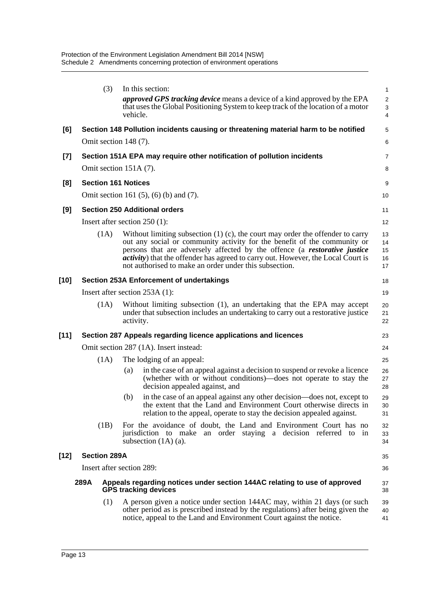|        | (3)                        | In this section:                                                                                                                                                                                                                                                                                                                                                                                       | $\mathbf{1}$               |
|--------|----------------------------|--------------------------------------------------------------------------------------------------------------------------------------------------------------------------------------------------------------------------------------------------------------------------------------------------------------------------------------------------------------------------------------------------------|----------------------------|
|        |                            | <i>approved GPS tracking device</i> means a device of a kind approved by the EPA<br>that uses the Global Positioning System to keep track of the location of a motor<br>vehicle.                                                                                                                                                                                                                       | $\overline{c}$<br>3<br>4   |
| [6]    |                            | Section 148 Pollution incidents causing or threatening material harm to be notified                                                                                                                                                                                                                                                                                                                    | 5                          |
|        | Omit section 148 (7).      |                                                                                                                                                                                                                                                                                                                                                                                                        | 6                          |
| $[7]$  |                            | Section 151A EPA may require other notification of pollution incidents                                                                                                                                                                                                                                                                                                                                 | 7                          |
|        |                            | Omit section 151A (7).                                                                                                                                                                                                                                                                                                                                                                                 | 8                          |
| [8]    | <b>Section 161 Notices</b> |                                                                                                                                                                                                                                                                                                                                                                                                        | 9                          |
|        |                            | Omit section 161 $(5)$ , $(6)$ $(b)$ and $(7)$ .                                                                                                                                                                                                                                                                                                                                                       | 10                         |
| [9]    |                            | <b>Section 250 Additional orders</b>                                                                                                                                                                                                                                                                                                                                                                   | 11                         |
|        |                            | Insert after section $250(1)$ :                                                                                                                                                                                                                                                                                                                                                                        | 12                         |
|        | (1A)                       | Without limiting subsection $(1)$ (c), the court may order the offender to carry<br>out any social or community activity for the benefit of the community or<br>persons that are adversely affected by the offence (a <i>restorative justice</i><br><i>activity</i> ) that the offender has agreed to carry out. However, the Local Court is<br>not authorised to make an order under this subsection. | 13<br>14<br>15<br>16<br>17 |
| [10]   |                            | <b>Section 253A Enforcement of undertakings</b>                                                                                                                                                                                                                                                                                                                                                        | 18                         |
|        |                            | Insert after section $253A(1)$ :                                                                                                                                                                                                                                                                                                                                                                       | 19                         |
|        | (1A)                       | Without limiting subsection (1), an undertaking that the EPA may accept<br>under that subsection includes an undertaking to carry out a restorative justice<br>activity.                                                                                                                                                                                                                               | 20<br>21<br>22             |
| $[11]$ |                            | Section 287 Appeals regarding licence applications and licences                                                                                                                                                                                                                                                                                                                                        | 23                         |
|        |                            | Omit section 287 (1A). Insert instead:                                                                                                                                                                                                                                                                                                                                                                 | 24                         |
|        | (1A)                       | The lodging of an appeal:                                                                                                                                                                                                                                                                                                                                                                              | 25                         |
|        |                            | in the case of an appeal against a decision to suspend or revoke a licence<br>(a)<br>(whether with or without conditions)—does not operate to stay the<br>decision appealed against, and                                                                                                                                                                                                               | 26<br>27<br>28             |
|        |                            | in the case of an appeal against any other decision—does not, except to<br>(b)<br>the extent that the Land and Environment Court otherwise directs in<br>relation to the appeal, operate to stay the decision appealed against.                                                                                                                                                                        | 29<br>30<br>31             |
|        | (1B)                       | For the avoidance of doubt, the Land and Environment Court has no<br>jurisdiction to make an order staying a decision referred to in<br>subsection $(1A)$ (a).                                                                                                                                                                                                                                         | 32<br>33<br>34             |
| [12]   | <b>Section 289A</b>        |                                                                                                                                                                                                                                                                                                                                                                                                        | 35                         |
|        |                            | Insert after section 289:                                                                                                                                                                                                                                                                                                                                                                              | 36                         |
|        | 289A                       | Appeals regarding notices under section 144AC relating to use of approved<br><b>GPS tracking devices</b>                                                                                                                                                                                                                                                                                               | 37<br>38                   |
|        | (1)                        | A person given a notice under section 144AC may, within 21 days (or such<br>other period as is prescribed instead by the regulations) after being given the<br>notice, appeal to the Land and Environment Court against the notice.                                                                                                                                                                    | 39<br>40<br>41             |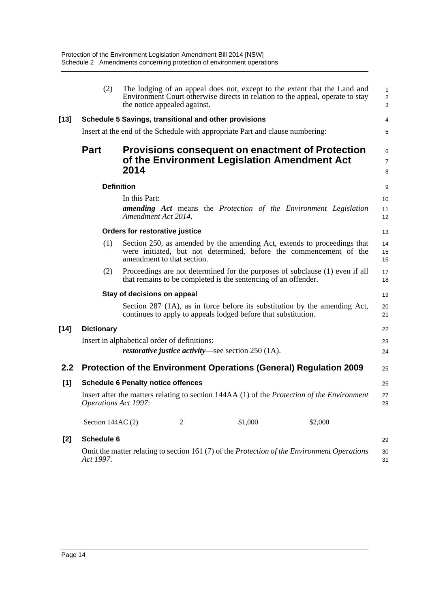|        | (2)                         | the notice appealed against.                                                  |                                                                | The lodging of an appeal does not, except to the extent that the Land and<br>Environment Court otherwise directs in relation to the appeal, operate to stay | $\mathbf{1}$<br>$\sqrt{2}$<br>3 |
|--------|-----------------------------|-------------------------------------------------------------------------------|----------------------------------------------------------------|-------------------------------------------------------------------------------------------------------------------------------------------------------------|---------------------------------|
| $[13]$ |                             | Schedule 5 Savings, transitional and other provisions                         |                                                                |                                                                                                                                                             | 4                               |
|        |                             | Insert at the end of the Schedule with appropriate Part and clause numbering: |                                                                |                                                                                                                                                             | 5                               |
|        | <b>Part</b>                 | 2014                                                                          | of the Environment Legislation Amendment Act                   | <b>Provisions consequent on enactment of Protection</b>                                                                                                     | 6<br>$\overline{7}$<br>8        |
|        |                             | <b>Definition</b>                                                             |                                                                |                                                                                                                                                             | 9                               |
|        |                             | In this Part:                                                                 |                                                                |                                                                                                                                                             | 10                              |
|        |                             | Amendment Act 2014.                                                           |                                                                | <b>amending Act</b> means the Protection of the Environment Legislation                                                                                     | 11<br>12                        |
|        |                             | Orders for restorative justice                                                |                                                                |                                                                                                                                                             | 13                              |
|        | (1)                         | amendment to that section.                                                    |                                                                | Section 250, as amended by the amending Act, extends to proceedings that<br>were initiated, but not determined, before the commencement of the              | 14<br>15<br>16                  |
|        | (2)                         |                                                                               | that remains to be completed is the sentencing of an offender. | Proceedings are not determined for the purposes of subclause (1) even if all                                                                                | 17<br>18                        |
|        |                             | Stay of decisions on appeal                                                   |                                                                |                                                                                                                                                             | 19                              |
|        |                             |                                                                               | continues to apply to appeals lodged before that substitution. | Section 287 (1A), as in force before its substitution by the amending Act,                                                                                  | 20<br>21                        |
| $[14]$ | <b>Dictionary</b>           |                                                                               |                                                                |                                                                                                                                                             | 22                              |
|        |                             | Insert in alphabetical order of definitions:                                  |                                                                |                                                                                                                                                             | 23                              |
|        |                             |                                                                               | <i>restorative justice activity</i> —see section $250$ (1A).   |                                                                                                                                                             | 24                              |
| 2.2    |                             | Protection of the Environment Operations (General) Regulation 2009            |                                                                |                                                                                                                                                             | 25                              |
| [1]    |                             | <b>Schedule 6 Penalty notice offences</b>                                     |                                                                |                                                                                                                                                             | 26                              |
|        | <b>Operations Act 1997:</b> |                                                                               |                                                                | Insert after the matters relating to section 144AA (1) of the <i>Protection of the Environment</i>                                                          | 27<br>28                        |
|        | Section 144AC (2)           | 2                                                                             | \$1,000                                                        | \$2,000                                                                                                                                                     |                                 |
| $[2]$  | Schedule 6                  |                                                                               |                                                                |                                                                                                                                                             | 29                              |
|        | Act 1997.                   |                                                                               |                                                                | Omit the matter relating to section 161 (7) of the Protection of the Environment Operations                                                                 | 30<br>31                        |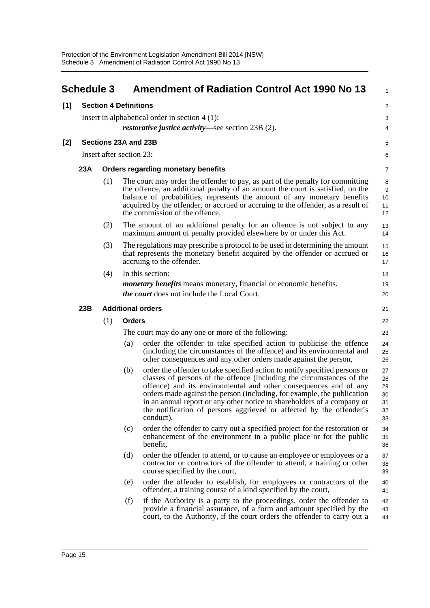<span id="page-21-0"></span>

|     | <b>Schedule 3</b>            |     | <b>Amendment of Radiation Control Act 1990 No 13</b>                                                                                                                                                                                                                                                                                                                                                                                                                     | $\mathbf{1}$                           |  |
|-----|------------------------------|-----|--------------------------------------------------------------------------------------------------------------------------------------------------------------------------------------------------------------------------------------------------------------------------------------------------------------------------------------------------------------------------------------------------------------------------------------------------------------------------|----------------------------------------|--|
| [1] | <b>Section 4 Definitions</b> |     |                                                                                                                                                                                                                                                                                                                                                                                                                                                                          |                                        |  |
|     |                              |     | Insert in alphabetical order in section $4(1)$ :                                                                                                                                                                                                                                                                                                                                                                                                                         | 3                                      |  |
|     |                              |     | <i>restorative justice activity</i> —see section 23B (2).                                                                                                                                                                                                                                                                                                                                                                                                                | 4                                      |  |
| [2] | Sections 23A and 23B         |     |                                                                                                                                                                                                                                                                                                                                                                                                                                                                          | 5                                      |  |
|     | Insert after section 23:     |     |                                                                                                                                                                                                                                                                                                                                                                                                                                                                          |                                        |  |
|     | 23A                          |     | <b>Orders regarding monetary benefits</b>                                                                                                                                                                                                                                                                                                                                                                                                                                | 7                                      |  |
|     |                              | (1) | The court may order the offender to pay, as part of the penalty for committing<br>the offence, an additional penalty of an amount the court is satisfied, on the<br>balance of probabilities, represents the amount of any monetary benefits<br>acquired by the offender, or accrued or accruing to the offender, as a result of<br>the commission of the offence.                                                                                                       | 8<br>9<br>10<br>11<br>12               |  |
|     |                              | (2) | The amount of an additional penalty for an offence is not subject to any<br>maximum amount of penalty provided elsewhere by or under this Act.                                                                                                                                                                                                                                                                                                                           | 13<br>14                               |  |
|     |                              | (3) | The regulations may prescribe a protocol to be used in determining the amount<br>that represents the monetary benefit acquired by the offender or accrued or<br>accruing to the offender.                                                                                                                                                                                                                                                                                | 15<br>16<br>17                         |  |
|     |                              | (4) | In this section:                                                                                                                                                                                                                                                                                                                                                                                                                                                         | 18                                     |  |
|     |                              |     | <i>monetary benefits</i> means monetary, financial or economic benefits.                                                                                                                                                                                                                                                                                                                                                                                                 | 19                                     |  |
|     |                              |     | <i>the court</i> does not include the Local Court.                                                                                                                                                                                                                                                                                                                                                                                                                       | 20                                     |  |
|     | 23B                          |     | <b>Additional orders</b>                                                                                                                                                                                                                                                                                                                                                                                                                                                 | 21                                     |  |
|     |                              | (1) | <b>Orders</b>                                                                                                                                                                                                                                                                                                                                                                                                                                                            | 22                                     |  |
|     |                              |     | The court may do any one or more of the following:                                                                                                                                                                                                                                                                                                                                                                                                                       | 23                                     |  |
|     |                              |     | order the offender to take specified action to publicise the offence<br>(a)<br>(including the circumstances of the offence) and its environmental and<br>other consequences and any other orders made against the person,                                                                                                                                                                                                                                                | 24<br>25<br>26                         |  |
|     |                              |     | order the offender to take specified action to notify specified persons or<br>(b)<br>classes of persons of the offence (including the circumstances of the<br>offence) and its environmental and other consequences and of any<br>orders made against the person (including, for example, the publication<br>in an annual report or any other notice to shareholders of a company or<br>the notification of persons aggrieved or affected by the offender's<br>conduct), | 27<br>28<br>29<br>30<br>31<br>32<br>33 |  |
|     |                              |     | order the offender to carry out a specified project for the restoration or<br>(c)<br>enhancement of the environment in a public place or for the public<br>benefit,                                                                                                                                                                                                                                                                                                      | 34<br>35<br>36                         |  |
|     |                              |     | (d)<br>order the offender to attend, or to cause an employee or employees or a<br>contractor or contractors of the offender to attend, a training or other<br>course specified by the court,                                                                                                                                                                                                                                                                             | 37<br>38<br>39                         |  |
|     |                              |     | order the offender to establish, for employees or contractors of the<br>(e)<br>offender, a training course of a kind specified by the court,                                                                                                                                                                                                                                                                                                                             | 40<br>41                               |  |
|     |                              |     | if the Authority is a party to the proceedings, order the offender to<br>(f)<br>provide a financial assurance, of a form and amount specified by the<br>court, to the Authority, if the court orders the offender to carry out a                                                                                                                                                                                                                                         | 42<br>43<br>44                         |  |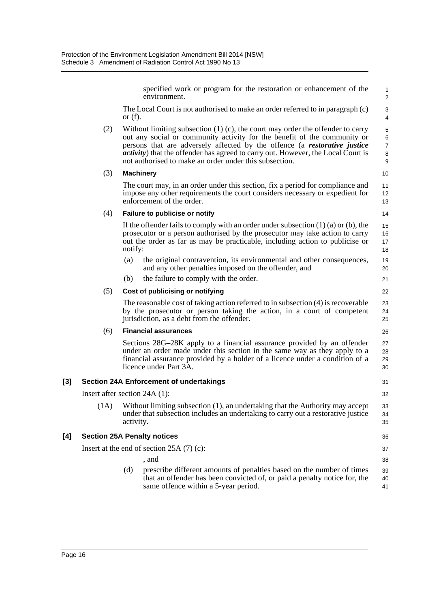specified work or program for the restoration or enhancement of the environment.

The Local Court is not authorised to make an order referred to in paragraph (c) or  $(f)$ .

(2) Without limiting subsection (1) (c), the court may order the offender to carry out any social or community activity for the benefit of the community or persons that are adversely affected by the offence (a *restorative justice activity*) that the offender has agreed to carry out. However, the Local Court is not authorised to make an order under this subsection.

#### (3) **Machinery**

The court may, in an order under this section, fix a period for compliance and impose any other requirements the court considers necessary or expedient for enforcement of the order.

13 14

36 37 38

#### (4) **Failure to publicise or notify**

If the offender fails to comply with an order under subsection  $(1)$   $(a)$  or  $(b)$ , the prosecutor or a person authorised by the prosecutor may take action to carry out the order as far as may be practicable, including action to publicise or notify:

(a) the original contravention, its environmental and other consequences, and any other penalties imposed on the offender, and

(b) the failure to comply with the order.

#### (5) **Cost of publicising or notifying**

The reasonable cost of taking action referred to in subsection (4) is recoverable by the prosecutor or person taking the action, in a court of competent jurisdiction, as a debt from the offender.

#### (6) **Financial assurances**

Sections 28G–28K apply to a financial assurance provided by an offender under an order made under this section in the same way as they apply to a financial assurance provided by a holder of a licence under a condition of a licence under Part 3A.

#### **[3] Section 24A Enforcement of undertakings**

Insert after section 24A (1):

(1A) Without limiting subsection (1), an undertaking that the Authority may accept under that subsection includes an undertaking to carry out a restorative justice activity. 33 34 35

#### **[4] Section 25A Penalty notices**

Insert at the end of section 25A (7) (c):

- , and
- (d) prescribe different amounts of penalties based on the number of times that an offender has been convicted of, or paid a penalty notice for, the same offence within a 5-year period. 39 40 41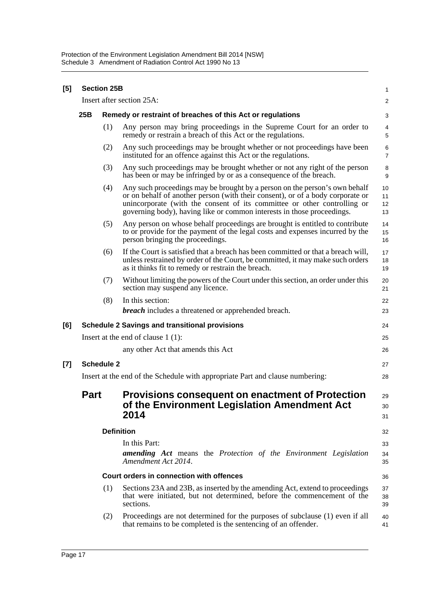| [5] |             | <b>Section 25B</b> | Insert after section 25A:                                                                                                                                                                                                                                                                                          | $\mathbf{1}$<br>$\mathbf 2$ |  |
|-----|-------------|--------------------|--------------------------------------------------------------------------------------------------------------------------------------------------------------------------------------------------------------------------------------------------------------------------------------------------------------------|-----------------------------|--|
|     | 25B         |                    | Remedy or restraint of breaches of this Act or regulations                                                                                                                                                                                                                                                         |                             |  |
|     |             | (1)                | Any person may bring proceedings in the Supreme Court for an order to<br>remedy or restrain a breach of this Act or the regulations.                                                                                                                                                                               | 3<br>4<br>5                 |  |
|     |             | (2)                | Any such proceedings may be brought whether or not proceedings have been<br>instituted for an offence against this Act or the regulations.                                                                                                                                                                         | 6<br>$\overline{7}$         |  |
|     |             | (3)                | Any such proceedings may be brought whether or not any right of the person<br>has been or may be infringed by or as a consequence of the breach.                                                                                                                                                                   | 8<br>9                      |  |
|     |             | (4)                | Any such proceedings may be brought by a person on the person's own behalf<br>or on behalf of another person (with their consent), or of a body corporate or<br>unincorporate (with the consent of its committee or other controlling or<br>governing body), having like or common interests in those proceedings. | 10<br>11<br>12<br>13        |  |
|     |             | (5)                | Any person on whose behalf proceedings are brought is entitled to contribute<br>to or provide for the payment of the legal costs and expenses incurred by the<br>person bringing the proceedings.                                                                                                                  | 14<br>15<br>16              |  |
|     |             | (6)                | If the Court is satisfied that a breach has been committed or that a breach will,<br>unless restrained by order of the Court, be committed, it may make such orders<br>as it thinks fit to remedy or restrain the breach.                                                                                          | 17<br>18<br>19              |  |
|     |             | (7)                | Without limiting the powers of the Court under this section, an order under this<br>section may suspend any licence.                                                                                                                                                                                               | 20<br>21                    |  |
|     |             | (8)                | In this section:<br><b>breach</b> includes a threatened or apprehended breach.                                                                                                                                                                                                                                     | 22<br>23                    |  |
| [6] |             |                    | <b>Schedule 2 Savings and transitional provisions</b>                                                                                                                                                                                                                                                              | 24                          |  |
|     |             |                    | Insert at the end of clause $1(1)$ :                                                                                                                                                                                                                                                                               | 25                          |  |
|     |             |                    | any other Act that amends this Act                                                                                                                                                                                                                                                                                 | 26                          |  |
| [7] |             | <b>Schedule 2</b>  |                                                                                                                                                                                                                                                                                                                    | 27                          |  |
|     |             |                    | Insert at the end of the Schedule with appropriate Part and clause numbering:                                                                                                                                                                                                                                      | 28                          |  |
|     | <b>Part</b> |                    | <b>Provisions consequent on enactment of Protection</b><br>of the Environment Legislation Amendment Act<br>2014                                                                                                                                                                                                    | 29<br>30<br>31              |  |
|     |             |                    | <b>Definition</b>                                                                                                                                                                                                                                                                                                  | 32                          |  |
|     |             |                    | In this Part:<br><b>amending</b> Act means the Protection of the Environment Legislation<br>Amendment Act 2014.                                                                                                                                                                                                    | 33<br>34<br>35              |  |
|     |             |                    | Court orders in connection with offences                                                                                                                                                                                                                                                                           | 36                          |  |
|     |             | (1)                | Sections 23A and 23B, as inserted by the amending Act, extend to proceedings<br>that were initiated, but not determined, before the commencement of the<br>sections.                                                                                                                                               | 37<br>38<br>39              |  |
|     |             | (2)                | Proceedings are not determined for the purposes of subclause (1) even if all<br>that remains to be completed is the sentencing of an offender.                                                                                                                                                                     | 40<br>41                    |  |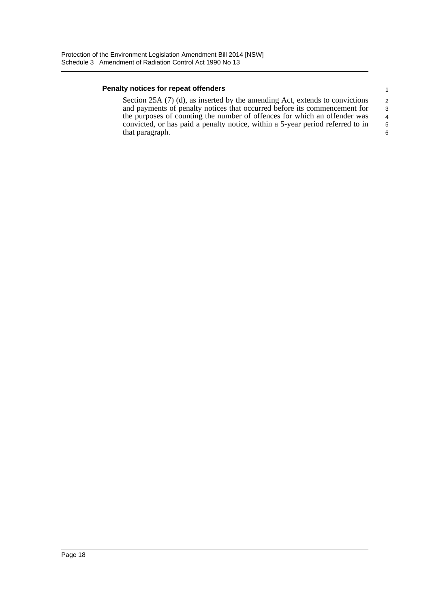#### **Penalty notices for repeat offenders**

Section 25A (7) (d), as inserted by the amending Act, extends to convictions and payments of penalty notices that occurred before its commencement for the purposes of counting the number of offences for which an offender was convicted, or has paid a penalty notice, within a 5-year period referred to in that paragraph.

5 6